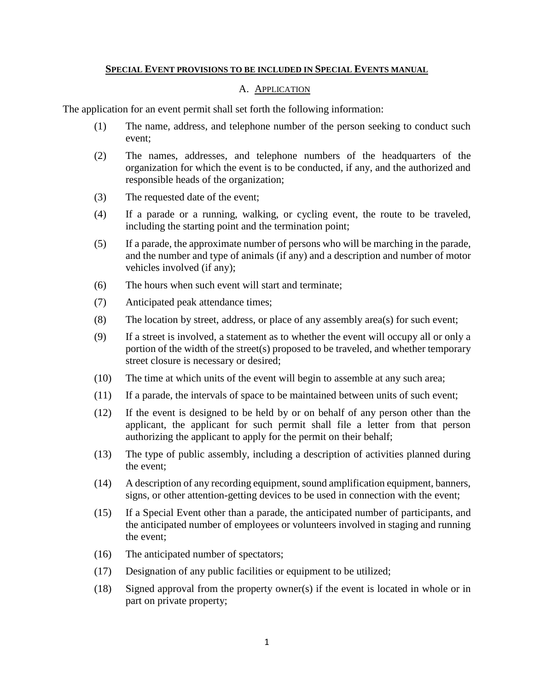## **SPECIAL EVENT PROVISIONS TO BE INCLUDED IN SPECIAL EVENTS MANUAL**

### A. APPLICATION

The application for an event permit shall set forth the following information:

- (1) The name, address, and telephone number of the person seeking to conduct such event;
- (2) The names, addresses, and telephone numbers of the headquarters of the organization for which the event is to be conducted, if any, and the authorized and responsible heads of the organization;
- (3) The requested date of the event;
- (4) If a parade or a running, walking, or cycling event, the route to be traveled, including the starting point and the termination point;
- (5) If a parade, the approximate number of persons who will be marching in the parade, and the number and type of animals (if any) and a description and number of motor vehicles involved (if any);
- (6) The hours when such event will start and terminate;
- (7) Anticipated peak attendance times;
- (8) The location by street, address, or place of any assembly area(s) for such event;
- (9) If a street is involved, a statement as to whether the event will occupy all or only a portion of the width of the street(s) proposed to be traveled, and whether temporary street closure is necessary or desired;
- (10) The time at which units of the event will begin to assemble at any such area;
- (11) If a parade, the intervals of space to be maintained between units of such event;
- (12) If the event is designed to be held by or on behalf of any person other than the applicant, the applicant for such permit shall file a letter from that person authorizing the applicant to apply for the permit on their behalf;
- (13) The type of public assembly, including a description of activities planned during the event;
- (14) A description of any recording equipment, sound amplification equipment, banners, signs, or other attention-getting devices to be used in connection with the event;
- (15) If a Special Event other than a parade, the anticipated number of participants, and the anticipated number of employees or volunteers involved in staging and running the event;
- (16) The anticipated number of spectators;
- (17) Designation of any public facilities or equipment to be utilized;
- (18) Signed approval from the property owner(s) if the event is located in whole or in part on private property;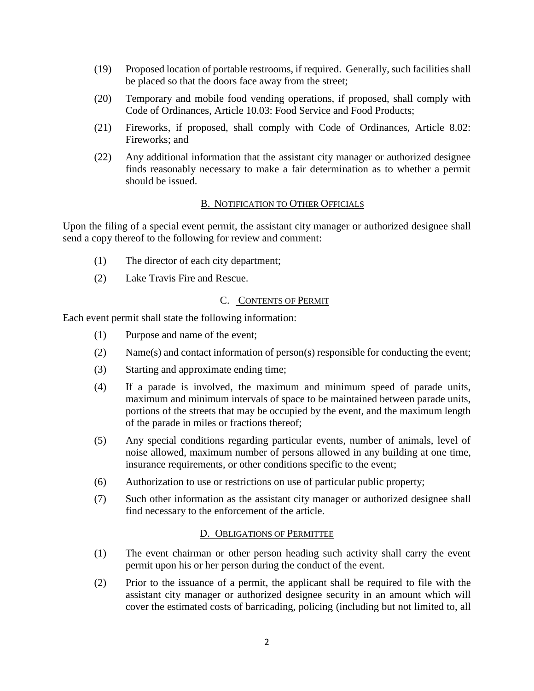- (19) Proposed location of portable restrooms, if required. Generally, such facilities shall be placed so that the doors face away from the street;
- (20) Temporary and mobile food vending operations, if proposed, shall comply with Code of Ordinances, Article 10.03: Food Service and Food Products;
- (21) Fireworks, if proposed, shall comply with Code of Ordinances, Article 8.02: Fireworks; and
- (22) Any additional information that the assistant city manager or authorized designee finds reasonably necessary to make a fair determination as to whether a permit should be issued.

## B. NOTIFICATION TO OTHER OFFICIALS

Upon the filing of a special event permit, the assistant city manager or authorized designee shall send a copy thereof to the following for review and comment:

- (1) The director of each city department;
- (2) Lake Travis Fire and Rescue.

# C. CONTENTS OF PERMIT

Each event permit shall state the following information:

- (1) Purpose and name of the event;
- (2) Name(s) and contact information of person(s) responsible for conducting the event;
- (3) Starting and approximate ending time;
- (4) If a parade is involved, the maximum and minimum speed of parade units, maximum and minimum intervals of space to be maintained between parade units, portions of the streets that may be occupied by the event, and the maximum length of the parade in miles or fractions thereof;
- (5) Any special conditions regarding particular events, number of animals, level of noise allowed, maximum number of persons allowed in any building at one time, insurance requirements, or other conditions specific to the event;
- (6) Authorization to use or restrictions on use of particular public property;
- (7) Such other information as the assistant city manager or authorized designee shall find necessary to the enforcement of the article.

#### D. OBLIGATIONS OF PERMITTEE

- (1) The event chairman or other person heading such activity shall carry the event permit upon his or her person during the conduct of the event.
- (2) Prior to the issuance of a permit, the applicant shall be required to file with the assistant city manager or authorized designee security in an amount which will cover the estimated costs of barricading, policing (including but not limited to, all